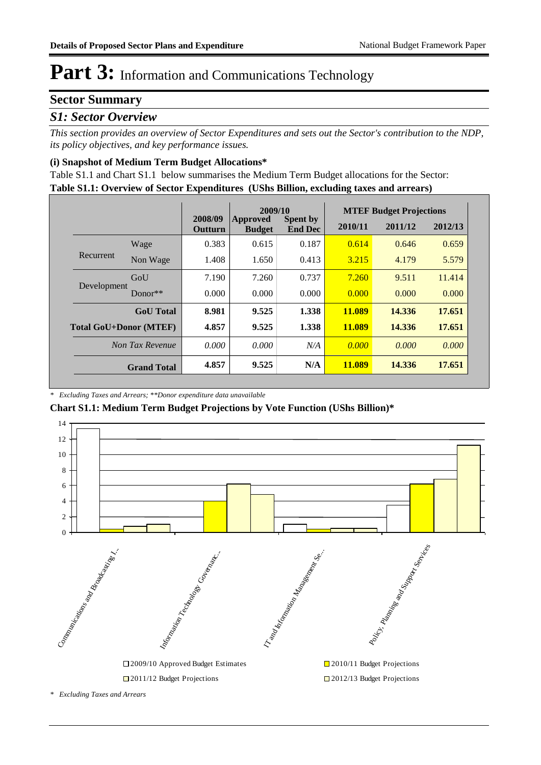## **Sector Summary**

### *S1: Sector Overview*

*This section provides an overview of Sector Expenditures and sets out the Sector's contribution to the NDP, its policy objectives, and key performance issues.* 

#### **(i) Snapshot of Medium Term Budget Allocations\***

**Table S1.1: Overview of Sector Expenditures (UShs Billion, excluding taxes and arrears)** Table S1.1 and Chart S1.1 below summarises the Medium Term Budget allocations for the Sector:

|                               |                    |                    | 2009/10                          |                                   |               | <b>MTEF Budget Projections</b> |         |
|-------------------------------|--------------------|--------------------|----------------------------------|-----------------------------------|---------------|--------------------------------|---------|
|                               |                    | 2008/09<br>Outturn | <b>Approved</b><br><b>Budget</b> | <b>Spent by</b><br><b>End Dec</b> | 2010/11       | 2011/12                        | 2012/13 |
|                               | Wage               | 0.383              | 0.615                            | 0.187                             | 0.614         | 0.646                          | 0.659   |
| Recurrent                     | Non Wage           | 1.408              | 1.650                            | 0.413                             | 3.215         | 4.179                          | 5.579   |
|                               | GoU                | 7.190              | 7.260                            | 0.737                             | 7.260         | 9.511                          | 11.414  |
| Development                   | Donor $**$         | 0.000              | 0.000                            | 0.000                             | 0.000         | 0.000                          | 0.000   |
|                               | <b>GoU</b> Total   | 8.981              | 9.525                            | 1.338                             | 11.089        | 14.336                         | 17.651  |
| <b>Total GoU+Donor (MTEF)</b> |                    | 4.857              | 9.525                            | 1.338                             | <b>11.089</b> | 14.336                         | 17.651  |
|                               | Non Tax Revenue    | 0.000              | 0.000                            | N/A                               | 0.000         | 0.000                          | 0.000   |
|                               | <b>Grand Total</b> | 4.857              | 9.525                            | N/A                               | <b>11.089</b> | 14.336                         | 17.651  |

*\* Excluding Taxes and Arrears; \*\*Donor expenditure data unavailable*

**Chart S1.1: Medium Term Budget Projections by Vote Function (UShs Billion)\***



*\* Excluding Taxes and Arrears*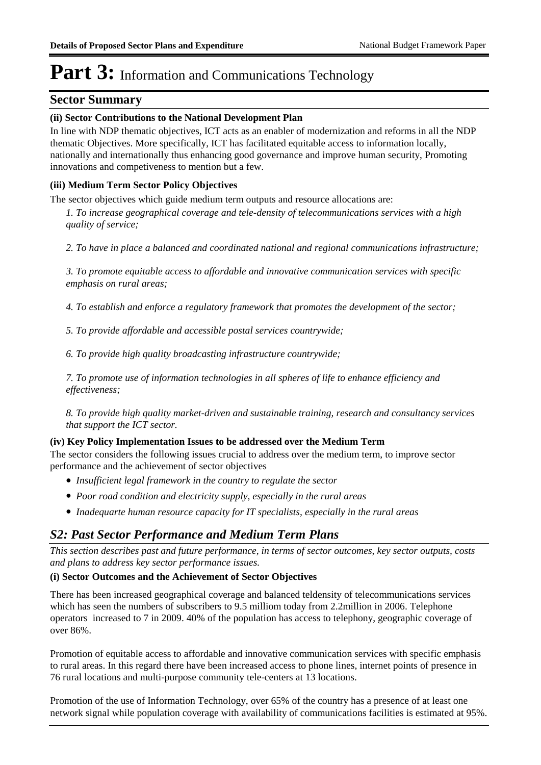### **Sector Summary**

### **(ii) Sector Contributions to the National Development Plan**

In line with NDP thematic objectives, ICT acts as an enabler of modernization and reforms in all the NDP thematic Objectives. More specifically, ICT has facilitated equitable access to information locally, nationally and internationally thus enhancing good governance and improve human security, Promoting innovations and competiveness to mention but a few.

#### **(iii) Medium Term Sector Policy Objectives**

The sector objectives which guide medium term outputs and resource allocations are:

*1. To increase geographical coverage and tele-density of telecommunications services with a high quality of service;*

*2. To have in place a balanced and coordinated national and regional communications infrastructure;*

*3. To promote equitable access to affordable and innovative communication services with specific emphasis on rural areas;*

*4. To establish and enforce a regulatory framework that promotes the development of the sector;*

*5. To provide affordable and accessible postal services countrywide;*

*6. To provide high quality broadcasting infrastructure countrywide;*

*7. To promote use of information technologies in all spheres of life to enhance efficiency and effectiveness;*

*8. To provide high quality market-driven and sustainable training, research and consultancy services that support the ICT sector.*

### **(iv) Key Policy Implementation Issues to be addressed over the Medium Term**

The sector considers the following issues crucial to address over the medium term, to improve sector performance and the achievement of sector objectives

- *Insufficient legal framework in the country to regulate the sector*
- *Poor road condition and electricity supply, especially in the rural areas*
- *Inadequarte human resource capacity for IT specialists, especially in the rural areas*

## *S2: Past Sector Performance and Medium Term Plans*

*This section describes past and future performance, in terms of sector outcomes, key sector outputs, costs and plans to address key sector performance issues.* 

### **(i) Sector Outcomes and the Achievement of Sector Objectives**

There has been increased geographical coverage and balanced teldensity of telecommunications services which has seen the numbers of subscribers to 9.5 milliom today from 2.2million in 2006. Telephone operators increased to 7 in 2009. 40% of the population has access to telephony, geographic coverage of over 86%.

Promotion of equitable access to affordable and innovative communication services with specific emphasis to rural areas. In this regard there have been increased access to phone lines, internet points of presence in 76 rural locations and multi-purpose community tele-centers at 13 locations.

Promotion of the use of Information Technology, over 65% of the country has a presence of at least one network signal while population coverage with availability of communications facilities is estimated at 95%.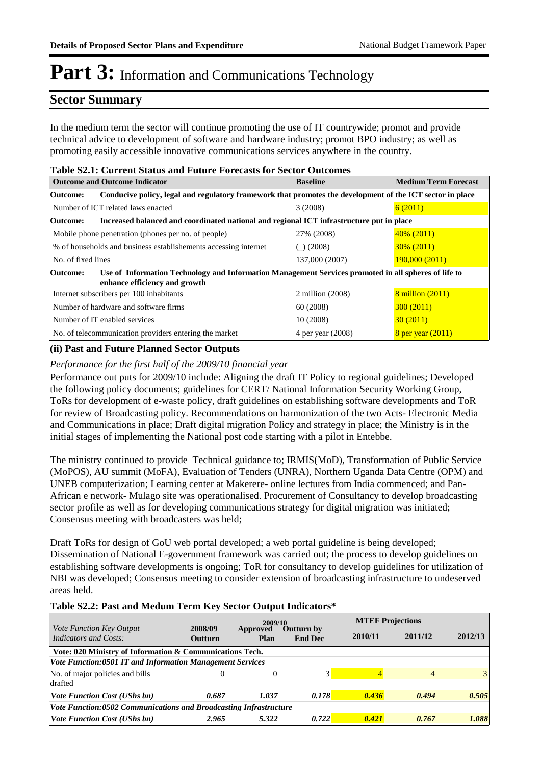## **Sector Summary**

In the medium term the sector will continue promoting the use of IT countrywide; promot and provide technical advice to development of software and hardware industry; promot BPO industry; as well as promoting easily accessible innovative communications services anywhere in the country.

| <b>Table S2.1: Current Status and Future Forecasts for Sector Outcomes</b> |                  |
|----------------------------------------------------------------------------|------------------|
| Outcome and Outcome Indicator                                              | <b>D</b> ocolino |

|                                       | <b>Outcome and Outcome Indicator</b>                                                                      | <b>Baseline</b>   | <b>Medium Term Forecast</b> |
|---------------------------------------|-----------------------------------------------------------------------------------------------------------|-------------------|-----------------------------|
| Outcome:                              | Conducive policy, legal and regulatory framework that promotes the development of the ICT sector in place |                   |                             |
|                                       | Number of ICT related laws enacted                                                                        | 3(2008)           | 6(2011)                     |
| Outcome:                              | Increased balanced and coordinated national and regional ICT infrastructure put in place                  |                   |                             |
|                                       | Mobile phone penetration (phones per no. of people)                                                       | 27% (2008)        | $40\%$ (2011)               |
|                                       | % of households and business establishements accessing internet                                           | ( ) (2008)        | $30\%$ (2011)               |
| No. of fixed lines                    |                                                                                                           | 137,000 (2007)    | 190,000(2011)               |
| <b>Outcome:</b>                       | Use of Information Technology and Information Management Services promoted in all spheres of life to      |                   |                             |
|                                       | enhance efficiency and growth                                                                             |                   |                             |
|                                       | Internet subscribers per 100 inhabitants                                                                  | 2 million (2008)  | 8 million (2011)            |
| Number of hardware and software firms |                                                                                                           | 60(2008)          | 300(2011)                   |
|                                       | Number of IT enabled services                                                                             | 10(2008)          | 30(2011)                    |
|                                       | No. of telecommunication providers entering the market                                                    | 4 per year (2008) | 8 per year $(2011)$         |

### **(ii) Past and Future Planned Sector Outputs**

#### *Performance for the first half of the 2009/10 financial year*

Performance out puts for 2009/10 include: Aligning the draft IT Policy to regional guidelines; Developed the following policy documents; guidelines for CERT/ National Information Security Working Group, ToRs for development of e-waste policy, draft guidelines on establishing software developments and ToR for review of Broadcasting policy. Recommendations on harmonization of the two Acts- Electronic Media and Communications in place; Draft digital migration Policy and strategy in place; the Ministry is in the initial stages of implementing the National post code starting with a pilot in Entebbe.

The ministry continued to provide Technical guidance to; IRMIS(MoD), Transformation of Public Service (MoPOS), AU summit (MoFA), Evaluation of Tenders (UNRA), Northern Uganda Data Centre (OPM) and UNEB computerization; Learning center at Makerere- online lectures from India commenced; and Pan-African e network- Mulago site was operationalised. Procurement of Consultancy to develop broadcasting sector profile as well as for developing communications strategy for digital migration was initiated; Consensus meeting with broadcasters was held;

Draft ToRs for design of GoU web portal developed; a web portal guideline is being developed; Dissemination of National E-government framework was carried out; the process to develop guidelines on establishing software developments is ongoing; ToR for consultancy to develop guidelines for utilization of NBI was developed; Consensus meeting to consider extension of broadcasting infrastructure to undeserved areas held.

#### **Table S2.2: Past and Medum Term Key Sector Output Indicators\***

|                                                                          |                           | 2009/10          |                                     |         | <b>MTEF Projections</b> |                |  |
|--------------------------------------------------------------------------|---------------------------|------------------|-------------------------------------|---------|-------------------------|----------------|--|
| <i>Vote Function Key Output</i><br><b>Indicators and Costs:</b>          | 2008/09<br><b>Outturn</b> | Approved<br>Plan | <b>Outturn by</b><br><b>End Dec</b> | 2010/11 | 2011/12                 | 2012/13        |  |
| Vote: 020 Ministry of Information & Communications Tech.                 |                           |                  |                                     |         |                         |                |  |
| <b>Vote Function:0501 IT and Information Management Services</b>         |                           |                  |                                     |         |                         |                |  |
| No. of major policies and bills                                          |                           | O                |                                     |         | $\overline{4}$          | 3 <sup>1</sup> |  |
| drafted                                                                  |                           |                  |                                     |         |                         |                |  |
| <i>Vote Function Cost (UShs bn)</i>                                      | 0.687                     | 1.037            | 0.178                               | 0.436   | 0.494                   | 0.505          |  |
| <i>Vote Function:0502 Communications and Broadcasting Infrastructure</i> |                           |                  |                                     |         |                         |                |  |
| <i>Vote Function Cost (UShs bn)</i>                                      | 2.965                     | 5.322            | 0.722                               | 0.421   | 0.767                   | 1.088          |  |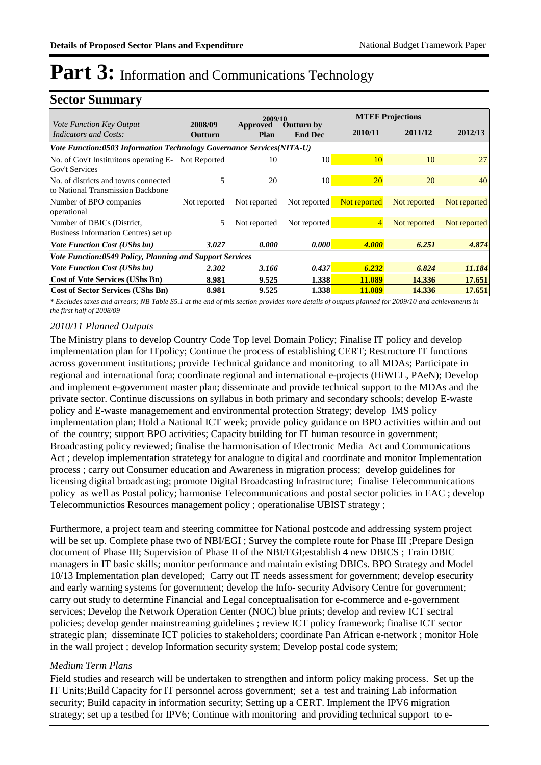## **Sector Summary**

|                                                                              |                    | 2009/10          |                                     |                | <b>MTEF Projections</b> |              |
|------------------------------------------------------------------------------|--------------------|------------------|-------------------------------------|----------------|-------------------------|--------------|
| <i>Vote Function Key Output</i><br><i>Indicators and Costs:</i>              | 2008/09<br>Outturn | Approved<br>Plan | <b>Outturn by</b><br><b>End Dec</b> | 2010/11        | 2011/12                 | 2012/13      |
| Vote Function:0503 Information Technology Governance Services(NITA-U)        |                    |                  |                                     |                |                         |              |
| No. of Gov't Instituitons operating E- Not Reported<br><b>Gov't Services</b> |                    | 10               | 10                                  | 10             | 10                      | 27           |
| No. of districts and towns connected<br>to National Transmission Backbone    | 5                  | 20               | 10                                  | <b>20</b>      | 20                      | 40           |
| Number of BPO companies<br>operational                                       | Not reported       | Not reported     | Not reported                        | Not reported   | Not reported            | Not reported |
| Number of DBICs (District,<br>Business Information Centres) set up           | 5                  | Not reported     | Not reported                        | $\overline{4}$ | Not reported            | Not reported |
| <i>Vote Function Cost (UShs bn)</i>                                          | 3.027              | 0.000            | 0.000                               | 4.000          | 6.251                   | 4.874        |
| Vote Function:0549 Policy, Planning and Support Services                     |                    |                  |                                     |                |                         |              |
| <i>Vote Function Cost (UShs bn)</i>                                          | 2.302              | 3.166            | 0.437                               | 6.232          | 6.824                   | 11.184       |
| <b>Cost of Vote Services (UShs Bn)</b>                                       | 8.981              | 9.525            | 1.338                               | 11.089         | 14.336                  | 17.651       |
| <b>Cost of Sector Services (UShs Bn)</b>                                     | 8.981              | 9.525            | 1.338                               | 11.089         | 14.336                  | 17.651       |

*\* Excludes taxes and arrears; NB Table S5.1 at the end of this section provides more details of outputs planned for 2009/10 and achievements in the first half of 2008/09*

### *2010/11 Planned Outputs*

The Ministry plans to develop Country Code Top level Domain Policy; Finalise IT policy and develop implementation plan for ITpolicy; Continue the process of establishing CERT; Restructure IT functions across government institutions; provide Technical guidance and monitoring to all MDAs; Participate in regional and international fora; coordinate regional and international e-projects (HiWEL, PAeN); Develop and implement e-government master plan; disseminate and provide technical support to the MDAs and the private sector. Continue discussions on syllabus in both primary and secondary schools; develop E-waste policy and E-waste managemement and environmental protection Strategy; develop IMS policy implementation plan; Hold a National ICT week; provide policy guidance on BPO activities within and out of the country; support BPO activities; Capacity building for IT human resource in government; Broadcasting policy reviewed; finalise the harmonisation of Electronic Media Act and Communications Act ; develop implementation stratetegy for analogue to digital and coordinate and monitor Implementation process ; carry out Consumer education and Awareness in migration process; develop guidelines for licensing digital broadcasting; promote Digital Broadcasting Infrastructure; finalise Telecommunications policy as well as Postal policy; harmonise Telecommunications and postal sector policies in EAC ; develop Telecommunictios Resources management policy ; operationalise UBIST strategy ;

Furthermore, a project team and steering committee for National postcode and addressing system project will be set up. Complete phase two of NBI/EGI ; Survey the complete route for Phase III ; Prepare Design document of Phase III; Supervision of Phase II of the NBI/EGI;establish 4 new DBICS ; Train DBIC managers in IT basic skills; monitor performance and maintain existing DBICs. BPO Strategy and Model 10/13 Implementation plan developed; Carry out IT needs assessment for government; develop esecurity and early warning systems for government; develop the Info- security Advisory Centre for government; carry out study to determine Financial and Legal conceptualisation for e-commerce and e-government services; Develop the Network Operation Center (NOC) blue prints; develop and review ICT sectral policies; develop gender mainstreaming guidelines ; review ICT policy framework; finalise ICT sector strategic plan; disseminate ICT policies to stakeholders; coordinate Pan African e-network ; monitor Hole in the wall project ; develop Information security system; Develop postal code system;

#### *Medium Term Plans*

Field studies and research will be undertaken to strengthen and inform policy making process. Set up the IT Units;Build Capacity for IT personnel across government; set a test and training Lab information security; Build capacity in information security; Setting up a CERT. Implement the IPV6 migration strategy; set up a testbed for IPV6; Continue with monitoring and providing technical support to e-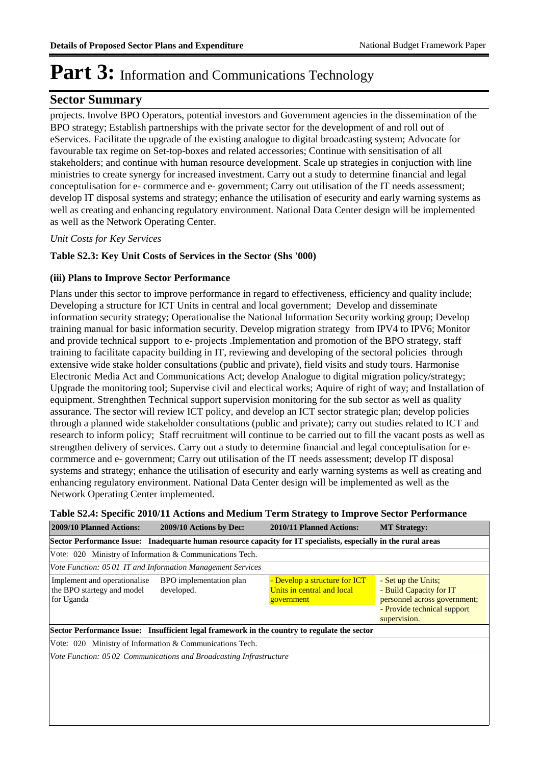## **Sector Summary**

projects. Involve BPO Operators, potential investors and Government agencies in the dissemination of the BPO strategy; Establish partnerships with the private sector for the development of and roll out of eServices. Facilitate the upgrade of the existing analogue to digital broadcasting system; Advocate for favourable tax regime on Set-top-boxes and related accessories; Continue with sensitisation of all stakeholders; and continue with human resource development. Scale up strategies in conjuction with line ministries to create synergy for increased investment. Carry out a study to determine financial and legal conceptulisation for e- cormmerce and e- government; Carry out utilisation of the IT needs assessment; develop IT disposal systems and strategy; enhance the utilisation of esecurity and early warning systems as well as creating and enhancing regulatory environment. National Data Center design will be implemented as well as the Network Operating Center.

*Unit Costs for Key Services*

### **Table S2.3: Key Unit Costs of Services in the Sector (Shs '000)**

#### **(iii) Plans to Improve Sector Performance**

Plans under this sector to improve performance in regard to effectiveness, efficiency and quality include; Developing a structure for ICT Units in central and local government; Develop and disseminate information security strategy; Operationalise the National Information Security working group; Develop training manual for basic information security. Develop migration strategy from IPV4 to IPV6; Monitor and provide technical support to e- projects .Implementation and promotion of the BPO strategy, staff training to facilitate capacity building in IT, reviewing and developing of the sectoral policies through extensive wide stake holder consultations (public and private), field visits and study tours. Harmonise Electronic Media Act and Communications Act; develop Analogue to digital migration policy/strategy; Upgrade the monitoring tool; Supervise civil and electical works; Aquire of right of way; and Installation of equipment. Strenghthen Technical support supervision monitoring for the sub sector as well as quality assurance. The sector will review ICT policy, and develop an ICT sector strategic plan; develop policies through a planned wide stakeholder consultations (public and private); carry out studies related to ICT and research to inform policy; Staff recruitment will continue to be carried out to fill the vacant posts as well as strengthen delivery of services. Carry out a study to determine financial and legal conceptulisation for ecormmerce and e- government; Carry out utilisation of the IT needs assessment; develop IT disposal systems and strategy; enhance the utilisation of esecurity and early warning systems as well as creating and enhancing regulatory environment. National Data Center design will be implemented as well as the Network Operating Center implemented.

|  |  |  | Table S2.4: Specific 2010/11 Actions and Medium Term Strategy to Improve Sector Performance |
|--|--|--|---------------------------------------------------------------------------------------------|
|--|--|--|---------------------------------------------------------------------------------------------|

| 2009/10 Planned Actions:                                                 | 2009/10 Actions by Dec:                                                                                         | 2010/11 Planned Actions:                                                  | <b>MT Strategy:</b>                                                                                                           |
|--------------------------------------------------------------------------|-----------------------------------------------------------------------------------------------------------------|---------------------------------------------------------------------------|-------------------------------------------------------------------------------------------------------------------------------|
|                                                                          | Sector Performance Issue: Inadequarte human resource capacity for IT specialists, especially in the rural areas |                                                                           |                                                                                                                               |
|                                                                          | Vote: 020 Ministry of Information & Communications Tech.                                                        |                                                                           |                                                                                                                               |
|                                                                          | Vote Function: 05 01 IT and Information Management Services                                                     |                                                                           |                                                                                                                               |
| Implement and operationalise<br>the BPO startegy and model<br>for Uganda | BPO implementation plan<br>developed.                                                                           | - Develop a structure for ICT<br>Units in central and local<br>government | - Set up the Units;<br>- Build Capacity for IT<br>personnel across government;<br>- Provide technical support<br>supervision. |
|                                                                          | Sector Performance Issue: Insufficient legal framework in the country to regulate the sector                    |                                                                           |                                                                                                                               |
|                                                                          | Vote: 020 Ministry of Information & Communications Tech.                                                        |                                                                           |                                                                                                                               |
|                                                                          | Vote Function: 0502 Communications and Broadcasting Infrastructure                                              |                                                                           |                                                                                                                               |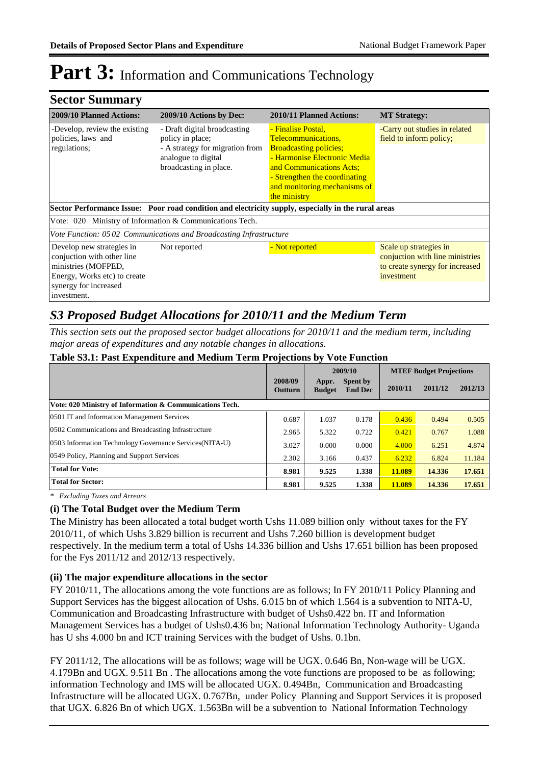## **Sector Summary**

| <b>2009/10 Planned Actions:</b>                                                                                                                        | 2009/10 Actions by Dec:                                                                                                              | 2010/11 Planned Actions:                                                                                                                                                                                                | <b>MT Strategy:</b>                                                                                        |
|--------------------------------------------------------------------------------------------------------------------------------------------------------|--------------------------------------------------------------------------------------------------------------------------------------|-------------------------------------------------------------------------------------------------------------------------------------------------------------------------------------------------------------------------|------------------------------------------------------------------------------------------------------------|
| -Develop, review the existing<br>policies, laws and<br>regulations;                                                                                    | - Draft digital broadcasting<br>policy in place;<br>- A strategy for migration from<br>analogue to digital<br>broadcasting in place. | - Finalise Postal,<br>Telecommunications,<br><b>Broadcasting policies;</b><br>- Harmonise Electronic Media<br>and Communications Acts;<br>- Strengthen the coordinating<br>and monitoring mechanisms of<br>the ministry | -Carry out studies in related<br>field to inform policy;                                                   |
|                                                                                                                                                        | Sector Performance Issue: Poor road condition and electricity supply, especially in the rural areas                                  |                                                                                                                                                                                                                         |                                                                                                            |
| Vote: 020 Ministry of Information & Communications Tech.                                                                                               |                                                                                                                                      |                                                                                                                                                                                                                         |                                                                                                            |
|                                                                                                                                                        | Vote Function: 0502 Communications and Broadcasting Infrastructure                                                                   |                                                                                                                                                                                                                         |                                                                                                            |
| Develop new strategies in<br>conjuction with other line<br>ministries (MOFPED,<br>Energy, Works etc) to create<br>synergy for increased<br>investment. | Not reported                                                                                                                         | - Not reported                                                                                                                                                                                                          | Scale up strategies in<br>conjuction with line ministries<br>to create synergy for increased<br>investment |

## *S3 Proposed Budget Allocations for 2010/11 and the Medium Term*

*This section sets out the proposed sector budget allocations for 2010/11 and the medium term, including major areas of expenditures and any notable changes in allocations.* 

|                                                          |                    | 2009/10                |                            | <b>MTEF Budget Projections</b> |         |         |
|----------------------------------------------------------|--------------------|------------------------|----------------------------|--------------------------------|---------|---------|
|                                                          | 2008/09<br>Outturn | Appr.<br><b>Budget</b> | Spent by<br><b>End Dec</b> | 2010/11                        | 2011/12 | 2012/13 |
| Vote: 020 Ministry of Information & Communications Tech. |                    |                        |                            |                                |         |         |
| 0501 IT and Information Management Services              | 0.687              | 1.037                  | 0.178                      | 0.436                          | 0.494   | 0.505   |
| 0502 Communications and Broadcasting Infrastructure      | 2.965              | 5.322                  | 0.722                      | 0.421                          | 0.767   | 1.088   |
| 0503 Information Technology Governance Services (NITA-U) | 3.027              | 0.000                  | 0.000                      | 4.000                          | 6.251   | 4.874   |
| 0549 Policy, Planning and Support Services               | 2.302              | 3.166                  | 0.437                      | 6.232                          | 6.824   | 11.184  |
| <b>Total for Vote:</b>                                   | 8.981              | 9.525                  | 1.338                      | 11.089                         | 14.336  | 17.651  |
| <b>Total for Sector:</b>                                 | 8.981              | 9.525                  | 1.338                      | 11.089                         | 14.336  | 17.651  |

#### **Table S3.1: Past Expenditure and Medium Term Projections by Vote Function**

*\* Excluding Taxes and Arrears*

### **(i) The Total Budget over the Medium Term**

The Ministry has been allocated a total budget worth Ushs 11.089 billion only without taxes for the FY 2010/11, of which Ushs 3.829 billion is recurrent and Ushs 7.260 billion is development budget respectively. In the medium term a total of Ushs 14.336 billion and Ushs 17.651 billion has been proposed for the Fys 2011/12 and 2012/13 respectively.

### **(ii) The major expenditure allocations in the sector**

FY 2010/11, The allocations among the vote functions are as follows; In FY 2010/11 Policy Planning and Support Services has the biggest allocation of Ushs. 6.015 bn of which 1.564 is a subvention to NITA-U, Communication and Broadcasting Infrastructure with budget of Ushs0.422 bn. IT and Information Management Services has a budget of Ushs0.436 bn; National Information Technology Authority- Uganda has U shs 4.000 bn and ICT training Services with the budget of Ushs. 0.1bn.

FY 2011/12, The allocations will be as follows; wage will be UGX. 0.646 Bn, Non-wage will be UGX. 4.179Bn and UGX. 9.511 Bn . The allocations among the vote functions are proposed to be as following; information Technology and IMS will be allocated UGX. 0.494Bn, Communication and Broadcasting Infrastructure will be allocated UGX. 0.767Bn, under Policy Planning and Support Services it is proposed that UGX. 6.826 Bn of which UGX. 1.563Bn will be a subvention to National Information Technology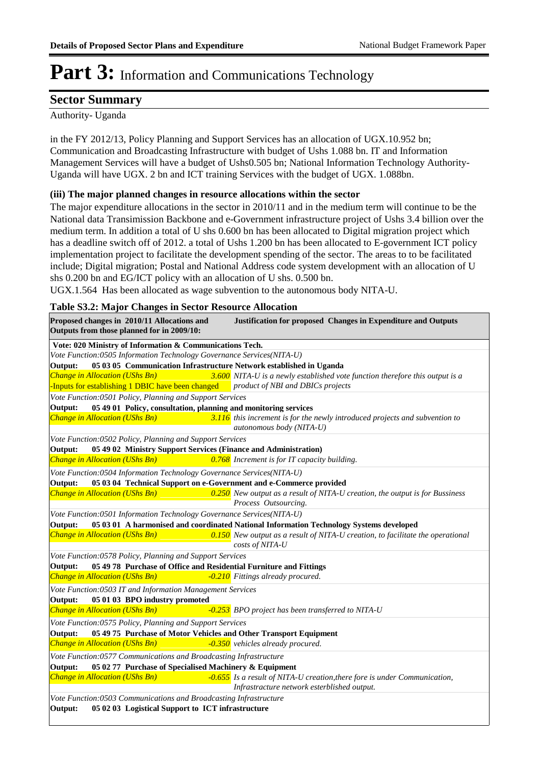## **Sector Summary**

Authority- Uganda

in the FY 2012/13, Policy Planning and Support Services has an allocation of UGX.10.952 bn; Communication and Broadcasting Infrastructure with budget of Ushs 1.088 bn. IT and Information Management Services will have a budget of Ushs0.505 bn; National Information Technology Authority-Uganda will have UGX. 2 bn and ICT training Services with the budget of UGX. 1.088bn.

### **(iii) The major planned changes in resource allocations within the sector**

The major expenditure allocations in the sector in 2010/11 and in the medium term will continue to be the National data Transimission Backbone and e-Government infrastructure project of Ushs 3.4 billion over the medium term. In addition a total of U shs 0.600 bn has been allocated to Digital migration project which has a deadline switch off of 2012. a total of Ushs 1.200 bn has been allocated to E-government ICT policy implementation project to facilitate the development spending of the sector. The areas to to be facilitated include; Digital migration; Postal and National Address code system development with an allocation of U shs 0.200 bn and EG/ICT policy with an allocation of U shs. 0.500 bn.

UGX.1.564 Has been allocated as wage subvention to the autonomous body NITA-U.

#### **Table S3.2: Major Changes in Sector Resource Allocation**

| Proposed changes in 2010/11 Allocations and<br>Outputs from those planned for in 2009/10: | Justification for proposed Changes in Expenditure and Outputs                                                            |
|-------------------------------------------------------------------------------------------|--------------------------------------------------------------------------------------------------------------------------|
| Vote: 020 Ministry of Information & Communications Tech.                                  |                                                                                                                          |
| Vote Function:0505 Information Technology Governance Services(NITA-U)                     |                                                                                                                          |
| 05 03 05 Communication Infrastructure Network established in Uganda<br>Output:            |                                                                                                                          |
| Change in Allocation (UShs Bn)                                                            | $3.600$ NITA-U is a newly established vote function therefore this output is a                                           |
| -Inputs for establishing 1 DBIC have been changed                                         | product of NBI and DBICs projects                                                                                        |
| Vote Function: 0501 Policy, Planning and Support Services                                 |                                                                                                                          |
| 05 49 01 Policy, consultation, planning and monitoring services<br>Output:                |                                                                                                                          |
| <b>Change in Allocation (UShs Bn)</b>                                                     | 3.116 this increment is for the newly introduced projects and subvention to<br>autonomous body (NITA-U)                  |
| Vote Function:0502 Policy, Planning and Support Services                                  |                                                                                                                          |
| 05 49 02 Ministry Support Services (Finance and Administration)<br>Output:                |                                                                                                                          |
| Change in Allocation (UShs Bn)                                                            | $0.768$ Increment is for IT capacity building.                                                                           |
| Vote Function:0504 Information Technology Governance Services(NITA-U)                     |                                                                                                                          |
| 05 03 04 Technical Support on e-Government and e-Commerce provided<br>Output:             |                                                                                                                          |
| <b>Change in Allocation (UShs Bn)</b>                                                     | $0.250$ New output as a result of NITA-U creation, the output is for Bussiness<br>Process Outsourcing.                   |
| Vote Function: 0501 Information Technology Governance Services(NITA-U)                    |                                                                                                                          |
| Output:                                                                                   | 05 03 01 A harmonised and coordinated National Information Technology Systems developed                                  |
| Change in Allocation (UShs Bn)                                                            | 0.150 New output as a result of NITA-U creation, to facilitate the operational                                           |
|                                                                                           | costs of NITA-U                                                                                                          |
| Vote Function:0578 Policy, Planning and Support Services                                  |                                                                                                                          |
| 05 49 78 Purchase of Office and Residential Furniture and Fittings<br>Output:             |                                                                                                                          |
| Change in Allocation (UShs Bn)                                                            | -0.210 Fittings already procured.                                                                                        |
| Vote Function: 0503 IT and Information Management Services                                |                                                                                                                          |
| Output:<br>05 01 03 BPO industry promoted                                                 |                                                                                                                          |
| <b>Change in Allocation (UShs Bn)</b>                                                     | -0.253 BPO project has been transferred to NITA-U                                                                        |
| Vote Function:0575 Policy, Planning and Support Services                                  |                                                                                                                          |
| Output:<br>05 49 75 Purchase of Motor Vehicles and Other Transport Equipment              |                                                                                                                          |
| Change in Allocation (UShs Bn)                                                            | -0.350 vehicles already procured.                                                                                        |
| Vote Function:0577 Communications and Broadcasting Infrastructure                         |                                                                                                                          |
| 05 02 77 Purchase of Specialised Machinery & Equipment<br>Output:                         |                                                                                                                          |
| Change in Allocation (UShs Bn)                                                            | -0.655 Is a result of NITA-U creation, there fore is under Communication,<br>Infrastracture network esterblished output. |
| Vote Function: 0503 Communications and Broadcasting Infrastructure                        |                                                                                                                          |
| 05 02 03 Logistical Support to ICT infrastructure<br>Output:                              |                                                                                                                          |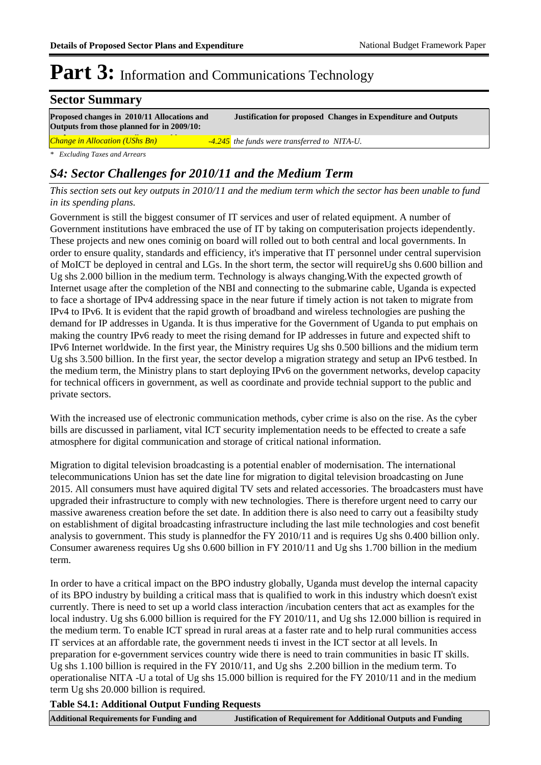## **Sector Summary**

**Proposed changes in 2010/11 Allocations and Justification for proposed Changes in Expenditure and Outputs Outputs from those planned for in 2009/10:** *Change in Allocation (UShs Bn) -4.245 the funds were transferred to NITA-U.*

*\* Excluding Taxes and Arrears*

## *S4: Sector Challenges for 2010/11 and the Medium Term*

*This section sets out key outputs in 2010/11 and the medium term which the sector has been unable to fund in its spending plans.*

Government is still the biggest consumer of IT services and user of related equipment. A number of Government institutions have embraced the use of IT by taking on computerisation projects idependently. These projects and new ones cominig on board will rolled out to both central and local governments. In order to ensure quality, standards and efficiency, it's imperative that IT personnel under central supervision of MoICT be deployed in central and LGs. In the short term, the sector will requireUg shs 0.600 billion and Ug shs 2.000 billion in the medium term. Technology is always changing.With the expected growth of Internet usage after the completion of the NBI and connecting to the submarine cable, Uganda is expected to face a shortage of IPv4 addressing space in the near future if timely action is not taken to migrate from IPv4 to IPv6. It is evident that the rapid growth of broadband and wireless technologies are pushing the demand for IP addresses in Uganda. It is thus imperative for the Government of Uganda to put emphais on making the country IPv6 ready to meet the rising demand for IP addresses in future and expected shift to IPv6 Internet worldwide. In the first year, the Ministry requires Ug shs 0.500 billions and the midium term Ug shs 3.500 billion. In the first year, the sector develop a migration strategy and setup an IPv6 testbed. In the medium term, the Ministry plans to start deploying IPv6 on the government networks, develop capacity for technical officers in government, as well as coordinate and provide technial support to the public and private sectors.

With the increased use of electronic communication methods, cyber crime is also on the rise. As the cyber bills are discussed in parliament, vital ICT security implementation needs to be effected to create a safe atmosphere for digital communication and storage of critical national information.

Migration to digital television broadcasting is a potential enabler of modernisation. The international telecommunications Union has set the date line for migration to digital television broadcasting on June 2015. All consumers must have aquired digital TV sets and related accessories. The broadcasters must have upgraded their infrastructure to comply with new technologies. There is therefore urgent need to carry our massive awareness creation before the set date. In addition there is also need to carry out a feasibilty study on establishment of digital broadcasting infrastructure including the last mile technologies and cost benefit analysis to government. This study is plannedfor the FY 2010/11 and is requires Ug shs 0.400 billion only. Consumer awareness requires Ug shs 0.600 billion in FY 2010/11 and Ug shs 1.700 billion in the medium term.

In order to have a critical impact on the BPO industry globally, Uganda must develop the internal capacity of its BPO industry by building a critical mass that is qualified to work in this industry which doesn't exist currently. There is need to set up a world class interaction /incubation centers that act as examples for the local industry. Ug shs 6.000 billion is required for the FY 2010/11, and Ug shs 12.000 billion is required in the medium term. To enable ICT spread in rural areas at a faster rate and to help rural communities access IT services at an affordable rate, the government needs ti invest in the ICT sector at all levels. In preparation for e-government services country wide there is need to train communities in basic IT skills. Ug shs 1.100 billion is required in the FY 2010/11, and Ug shs 2.200 billion in the medium term. To operationalise NITA -U a total of Ug shs 15.000 billion is required for the FY 2010/11 and in the medium term Ug shs 20.000 billion is required.

### **Table S4.1: Additional Output Funding Requests**

**Outputs in 2010/11** 

**Additional Requirements for Funding and Justification of Requirement for Additional Outputs and Funding**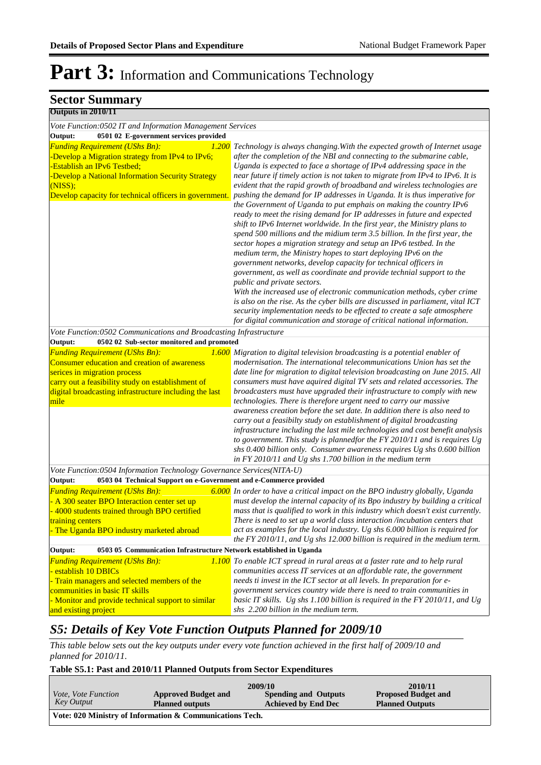| <b>Sector Summary</b>                                                                                                                                                                                                                                                                                |                                                                                                                                                                                                                                                                                                                                                                                                                                                                                                                                                                                                                                                                                                                                                                                                                                                                                                                                                                                                                                                                                                                                                                                                                                                                                                                                                 |
|------------------------------------------------------------------------------------------------------------------------------------------------------------------------------------------------------------------------------------------------------------------------------------------------------|-------------------------------------------------------------------------------------------------------------------------------------------------------------------------------------------------------------------------------------------------------------------------------------------------------------------------------------------------------------------------------------------------------------------------------------------------------------------------------------------------------------------------------------------------------------------------------------------------------------------------------------------------------------------------------------------------------------------------------------------------------------------------------------------------------------------------------------------------------------------------------------------------------------------------------------------------------------------------------------------------------------------------------------------------------------------------------------------------------------------------------------------------------------------------------------------------------------------------------------------------------------------------------------------------------------------------------------------------|
| Outputs in 2010/11                                                                                                                                                                                                                                                                                   |                                                                                                                                                                                                                                                                                                                                                                                                                                                                                                                                                                                                                                                                                                                                                                                                                                                                                                                                                                                                                                                                                                                                                                                                                                                                                                                                                 |
| Vote Function: 0502 IT and Information Management Services                                                                                                                                                                                                                                           |                                                                                                                                                                                                                                                                                                                                                                                                                                                                                                                                                                                                                                                                                                                                                                                                                                                                                                                                                                                                                                                                                                                                                                                                                                                                                                                                                 |
| 0501 02 E-government services provided<br>Output:                                                                                                                                                                                                                                                    |                                                                                                                                                                                                                                                                                                                                                                                                                                                                                                                                                                                                                                                                                                                                                                                                                                                                                                                                                                                                                                                                                                                                                                                                                                                                                                                                                 |
| <b>Funding Requirement (UShs Bn):</b><br>1.200<br>Develop a Migration strategy from IPv4 to IPv6;<br><b>Establish an IPv6 Testbed;</b><br>-Develop a National Information Security Strategy<br>(NISS);<br>Develop capacity for technical officers in government.                                     | Technology is always changing. With the expected growth of Internet usage<br>after the completion of the NBI and connecting to the submarine cable,<br>Uganda is expected to face a shortage of IPv4 addressing space in the<br>near future if timely action is not taken to migrate from IPv4 to IPv6. It is<br>evident that the rapid growth of broadband and wireless technologies are<br>pushing the demand for IP addresses in Uganda. It is thus imperative for<br>the Government of Uganda to put emphais on making the country IPv6<br>ready to meet the rising demand for IP addresses in future and expected<br>shift to IPv6 Internet worldwide. In the first year, the Ministry plans to<br>spend 500 millions and the midium term 3.5 billion. In the first year, the<br>sector hopes a migration strategy and setup an IPv6 testbed. In the<br>medium term, the Ministry hopes to start deploying IPv6 on the<br>government networks, develop capacity for technical officers in<br>government, as well as coordinate and provide technial support to the<br>public and private sectors.<br>With the increased use of electronic communication methods, cyber crime<br>is also on the rise. As the cyber bills are discussed in parliament, vital ICT<br>security implementation needs to be effected to create a safe atmosphere |
|                                                                                                                                                                                                                                                                                                      | for digital communication and storage of critical national information.                                                                                                                                                                                                                                                                                                                                                                                                                                                                                                                                                                                                                                                                                                                                                                                                                                                                                                                                                                                                                                                                                                                                                                                                                                                                         |
| Vote Function:0502 Communications and Broadcasting Infrastructure                                                                                                                                                                                                                                    |                                                                                                                                                                                                                                                                                                                                                                                                                                                                                                                                                                                                                                                                                                                                                                                                                                                                                                                                                                                                                                                                                                                                                                                                                                                                                                                                                 |
| 0502 02 Sub-sector monitored and promoted<br>Output:<br><b>Funding Requirement (UShs Bn):</b><br>Consumer education and creation of awareness<br>serices in migration process<br>carry out a feasibility study on establishment of<br>digital broadcasting infrastructure including the last<br>mile | 1.600 Migration to digital television broadcasting is a potential enabler of<br>modernisation. The international telecommunications Union has set the<br>date line for migration to digital television broadcasting on June 2015. All<br>consumers must have aquired digital TV sets and related accessories. The<br>broadcasters must have upgraded their infrastructure to comply with new<br>technologies. There is therefore urgent need to carry our massive<br>awareness creation before the set date. In addition there is also need to<br>carry out a feasibilty study on establishment of digital broadcasting<br>infrastructure including the last mile technologies and cost benefit analysis<br>to government. This study is plannedfor the FY 2010/11 and is requires Ug<br>shs 0.400 billion only. Consumer awareness requires Ug shs 0.600 billion<br>in FY 2010/11 and Ug shs 1.700 billion in the medium term                                                                                                                                                                                                                                                                                                                                                                                                                  |
| Vote Function:0504 Information Technology Governance Services(NITA-U)                                                                                                                                                                                                                                |                                                                                                                                                                                                                                                                                                                                                                                                                                                                                                                                                                                                                                                                                                                                                                                                                                                                                                                                                                                                                                                                                                                                                                                                                                                                                                                                                 |
| Output:<br>0503 04 Technical Support on e-Government and e-Commerce provided<br><b>Funding Requirement (UShs Bn):</b><br>A 300 seater BPO Interaction center set up<br>4000 students trained through BPO certified<br>training centers<br>- The Uganda BPO industry marketed abroad                  | 6.000 In order to have a critical impact on the BPO industry globally, Uganda<br>must develop the internal capacity of its Bpo industry by building a critical<br>mass that is qualified to work in this industry which doesn't exist currently.<br>There is need to set up a world class interaction /incubation centers that<br>act as examples for the local industry. Ug shs 6.000 billion is required for<br>the FY 2010/11, and Ug shs 12.000 billion is required in the medium term.                                                                                                                                                                                                                                                                                                                                                                                                                                                                                                                                                                                                                                                                                                                                                                                                                                                     |
| 0503 05 Communication Infrastructure Network established in Uganda<br>Output:                                                                                                                                                                                                                        |                                                                                                                                                                                                                                                                                                                                                                                                                                                                                                                                                                                                                                                                                                                                                                                                                                                                                                                                                                                                                                                                                                                                                                                                                                                                                                                                                 |
| <b>Funding Requirement (UShs Bn):</b><br>establish 10 DBICs<br>Train managers and selected members of the<br>communities in basic IT skills<br>Monitor and provide technical support to similar<br>and existing project                                                                              | 1.100 To enable ICT spread in rural areas at a faster rate and to help rural<br>communities access IT services at an affordable rate, the government<br>needs ti invest in the ICT sector at all levels. In preparation for e-<br>government services country wide there is need to train communities in<br>basic IT skills. Ug shs 1.100 billion is required in the FY 2010/11, and Ug<br>shs 2.200 billion in the medium term.                                                                                                                                                                                                                                                                                                                                                                                                                                                                                                                                                                                                                                                                                                                                                                                                                                                                                                                |

## *S5: Details of Key Vote Function Outputs Planned for 2009/10*

*This table below sets out the key outputs under every vote function achieved in the first half of 2009/10 and planned for 2010/11.*

#### **Table S5.1: Past and 2010/11 Planned Outputs from Sector Expenditures**

|                                                          |                            | 2009/10                    | 2010/11                    |  |
|----------------------------------------------------------|----------------------------|----------------------------|----------------------------|--|
| <i>Vote, Vote Function</i>                               | <b>Approved Budget and</b> | Spending and Outputs       | <b>Proposed Budget and</b> |  |
| Key Output                                               | <b>Planned outputs</b>     | <b>Achieved by End Dec</b> | <b>Planned Outputs</b>     |  |
| Vote: 020 Ministry of Information & Communications Tech. |                            |                            |                            |  |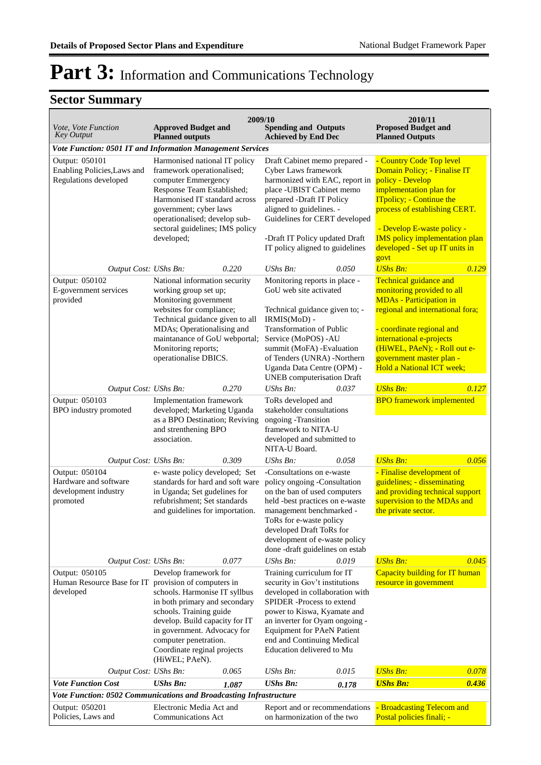## **Sector Summary**

| 2009/10<br>2010/11<br><b>Approved Budget and</b><br><b>Spending and Outputs</b><br><b>Proposed Budget and</b><br>Vote, Vote Function |                                                                                                                                                                                                                                                               |                                                                                                                                                                                                                                                                                               |                                                                                                                                                                                                                                                                                       |  |  |  |  |
|--------------------------------------------------------------------------------------------------------------------------------------|---------------------------------------------------------------------------------------------------------------------------------------------------------------------------------------------------------------------------------------------------------------|-----------------------------------------------------------------------------------------------------------------------------------------------------------------------------------------------------------------------------------------------------------------------------------------------|---------------------------------------------------------------------------------------------------------------------------------------------------------------------------------------------------------------------------------------------------------------------------------------|--|--|--|--|
| <b>Key Output</b>                                                                                                                    | <b>Planned outputs</b>                                                                                                                                                                                                                                        | <b>Achieved by End Dec</b>                                                                                                                                                                                                                                                                    | <b>Planned Outputs</b>                                                                                                                                                                                                                                                                |  |  |  |  |
|                                                                                                                                      | Vote Function: 0501 IT and Information Management Services                                                                                                                                                                                                    |                                                                                                                                                                                                                                                                                               |                                                                                                                                                                                                                                                                                       |  |  |  |  |
| Output: 050101<br>Enabling Policies, Laws and<br>Regulations developed                                                               | Harmonised national IT policy<br>framework operationalised;<br>computer Emmergency<br>Response Team Established;<br>Harmonised IT standard across<br>government; cyber laws<br>operationalised; develop sub-<br>sectoral guidelines; IMS policy<br>developed; | Draft Cabinet memo prepared -<br>Cyber Laws framework<br>harmonized with EAC, report in<br>place -UBIST Cabinet memo<br>prepared -Draft IT Policy<br>aligned to guidelines. -<br>Guidelines for CERT developed<br>-Draft IT Policy updated Draft<br>IT policy aligned to guidelines           | - Country Code Top level<br>Domain Policy; - Finalise IT<br>policy - Develop<br>implementation plan for<br><b>ITpolicy</b> ; - Continue the<br>process of establishing CERT.<br>- Develop E-waste policy -<br><b>IMS</b> policy implementation plan<br>developed - Set up IT units in |  |  |  |  |
| Output Cost: UShs Bn:                                                                                                                | 0.220                                                                                                                                                                                                                                                         | UShs Bn:<br>0.050                                                                                                                                                                                                                                                                             | govt<br><b>UShs Bn:</b><br>0.129                                                                                                                                                                                                                                                      |  |  |  |  |
| Output: 050102<br>E-government services<br>provided                                                                                  | National information security<br>working group set up;<br>Monitoring government<br>websites for compliance;<br>Technical guidance given to all<br>MDAs; Operationalising and<br>maintanance of GoU webportal;<br>Monitoring reports;<br>operationalise DBICS. | Monitoring reports in place -<br>GoU web site activated<br>Technical guidance given to; -<br>IRMIS(MoD) -<br>Transformation of Public<br>Service (MoPOS) - AU<br>summit (MoFA) - Evaluation<br>of Tenders (UNRA) -Northern<br>Uganda Data Centre (OPM) -<br><b>UNEB</b> computerisation Draft | Technical guidance and<br>monitoring provided to all<br><b>MDAs - Participation in</b><br>regional and international fora;<br>- coordinate regional and<br>international e-projects<br>(HiWEL, PAeN); - Roll out e-<br>government master plan -<br>Hold a National ICT week;          |  |  |  |  |
| Output Cost: UShs Bn:                                                                                                                | 0.270                                                                                                                                                                                                                                                         | 0.037<br>$UShs Bn$ :                                                                                                                                                                                                                                                                          | <b>UShs Bn:</b><br>0.127                                                                                                                                                                                                                                                              |  |  |  |  |
| Output: 050103<br>BPO industry promoted                                                                                              | Implementation framework<br>developed; Marketing Uganda<br>as a BPO Destination; Reviving<br>and strenthening BPO<br>association.                                                                                                                             | ToRs developed and<br>stakeholder consultations<br>ongoing -Transition<br>framework to NITA-U<br>developed and submitted to<br>NITA-U Board.                                                                                                                                                  | <b>BPO</b> framework implemented                                                                                                                                                                                                                                                      |  |  |  |  |
| Output Cost: UShs Bn:                                                                                                                | 0.309                                                                                                                                                                                                                                                         | 0.058<br>UShs Bn:                                                                                                                                                                                                                                                                             | <b>UShs Bn:</b><br>0.056                                                                                                                                                                                                                                                              |  |  |  |  |
| Output: 050104<br>Hardware and software<br>development industry<br>promoted                                                          | e- waste policy developed; Set<br>standards for hard and soft ware<br>in Uganda; Set gudelines for<br>refubrishment; Set standards<br>and guidelines for importation.                                                                                         | -Consultations on e-waste<br>policy ongoing -Consultation<br>on the ban of used computers<br>held -best practices on e-waste<br>management benchmarked -<br>ToRs for e-waste policy<br>developed Draft ToRs for<br>development of e-waste policy<br>done-draft guidelines on estab            | - Finalise development of<br>guidelines; - disseminating<br>and providing technical support<br>supervision to the MDAs and<br>the private sector.                                                                                                                                     |  |  |  |  |
| Output Cost: UShs Bn:                                                                                                                | 0.077                                                                                                                                                                                                                                                         | UShs Bn:<br>0.019                                                                                                                                                                                                                                                                             | <b>UShs Bn:</b><br>0.045                                                                                                                                                                                                                                                              |  |  |  |  |
| Output: 050105<br>Human Resource Base for IT provision of computers in<br>developed                                                  | Develop framework for<br>schools. Harmonise IT syllbus<br>in both primary and secondary<br>schools. Training guide<br>develop. Build capacity for IT<br>in government. Advocacy for<br>computer penetration.<br>Coordinate reginal projects<br>(HiWEL; PAeN). | Training curriculum for IT<br>security in Gov't institutions<br>developed in collaboration with<br>SPIDER -Process to extend<br>power to Kiswa, Kyamate and<br>an inverter for Oyam ongoing -<br><b>Equipment for PAeN Patient</b><br>end and Continuing Medical<br>Education delivered to Mu | Capacity building for IT human<br>resource in government                                                                                                                                                                                                                              |  |  |  |  |
| Output Cost: UShs Bn:                                                                                                                | 0.065                                                                                                                                                                                                                                                         | <b>UShs Bn:</b><br>0.015                                                                                                                                                                                                                                                                      | <b>UShs Bn:</b><br>0.078                                                                                                                                                                                                                                                              |  |  |  |  |
| <b>Vote Function Cost</b>                                                                                                            | <b>UShs Bn:</b><br>1.087                                                                                                                                                                                                                                      | <b>UShs Bn:</b><br>0.178                                                                                                                                                                                                                                                                      | <b>UShs Bn:</b><br>0.436                                                                                                                                                                                                                                                              |  |  |  |  |
| Vote Function: 0502 Communications and Broadcasting Infrastructure                                                                   |                                                                                                                                                                                                                                                               |                                                                                                                                                                                                                                                                                               |                                                                                                                                                                                                                                                                                       |  |  |  |  |
| Output: 050201<br>Policies, Laws and                                                                                                 | Electronic Media Act and<br><b>Communications Act</b>                                                                                                                                                                                                         | Report and or recommendations<br>on harmonization of the two                                                                                                                                                                                                                                  | <b>Broadcasting Telecom and</b><br>Postal policies finali; -                                                                                                                                                                                                                          |  |  |  |  |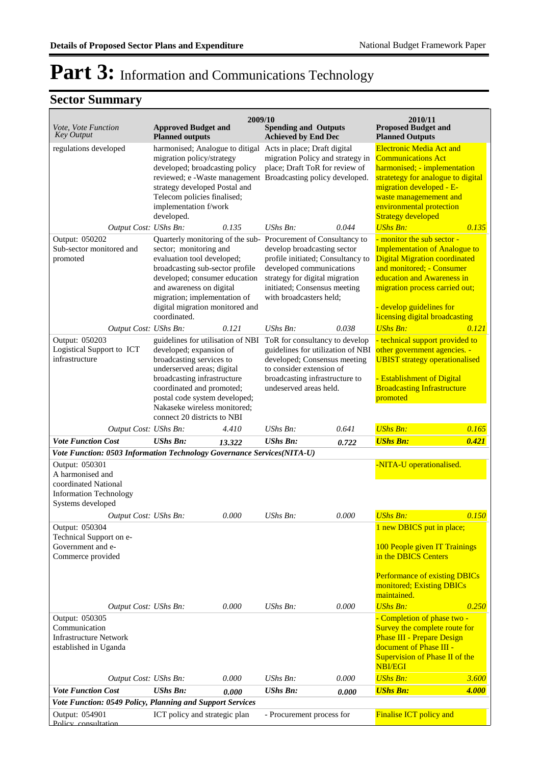## **Sector Summary**

| 2009/10<br>2010/11<br><b>Spending and Outputs</b><br><b>Approved Budget and</b>                                  |                                                                                                                                                                                                                       |        |                                                                                                                                                                |           |                                                                                                                                                                                                         |              |  |  |
|------------------------------------------------------------------------------------------------------------------|-----------------------------------------------------------------------------------------------------------------------------------------------------------------------------------------------------------------------|--------|----------------------------------------------------------------------------------------------------------------------------------------------------------------|-----------|---------------------------------------------------------------------------------------------------------------------------------------------------------------------------------------------------------|--------------|--|--|
| Vote, Vote Function<br><b>Key Output</b>                                                                         | <b>Planned outputs</b>                                                                                                                                                                                                |        | <b>Achieved by End Dec</b>                                                                                                                                     |           | <b>Proposed Budget and</b><br><b>Planned Outputs</b>                                                                                                                                                    |              |  |  |
| regulations developed                                                                                            | harmonised; Analogue to ditigal<br>migration policy/strategy<br>developed; broadcasting policy<br>reviewed; e -Waste management Broadcasting policy developed.                                                        |        | Acts in place; Draft digital<br>migration Policy and strategy in<br>place; Draft ToR for review of                                                             |           | <b>Electronic Media Act and</b><br><b>Communications Act</b><br>harmonised; - implementation<br>stratetegy for analogue to digital                                                                      |              |  |  |
|                                                                                                                  | strategy developed Postal and<br>Telecom policies finalised;<br>implementation f/work<br>developed.                                                                                                                   |        |                                                                                                                                                                |           | migration developed - E-<br>waste managemement and<br>environmental protection<br><b>Strategy developed</b>                                                                                             |              |  |  |
| Output Cost: UShs Bn:                                                                                            |                                                                                                                                                                                                                       | 0.135  | UShs Bn:                                                                                                                                                       | 0.044     | <b>UShs Bn:</b>                                                                                                                                                                                         | 0.135        |  |  |
| Output: 050202<br>Sub-sector monitored and<br>promoted                                                           | Quarterly monitoring of the sub-Procurement of Consultancy to<br>sector; monitoring and<br>evaluation tool developed;<br>broadcasting sub-sector profile<br>developed; consumer education<br>and awareness on digital |        | develop broadcasting sector<br>profile initiated; Consultancy to<br>developed communications<br>strategy for digital migration<br>initiated; Consensus meeting |           | - monitor the sub sector -<br><b>Implementation of Analogue to</b><br><b>Digital Migration coordinated</b><br>and monitored; - Consumer<br>education and Awareness in<br>migration process carried out; |              |  |  |
| Output Cost: UShs Bn:                                                                                            | migration; implementation of<br>digital migration monitored and<br>coordinated.                                                                                                                                       | 0.121  | with broadcasters held;<br>UShs Bn:                                                                                                                            | 0.038     | - develop guidelines for<br>licensing digital broadcasting<br><b>UShs Bn:</b>                                                                                                                           | 0.121        |  |  |
| Output: 050203                                                                                                   | guidelines for utilisation of NBI                                                                                                                                                                                     |        | ToR for consultancy to develop                                                                                                                                 |           | - technical support provided to                                                                                                                                                                         |              |  |  |
| Logistical Support to ICT<br>infrastructure                                                                      | developed; expansion of<br>broadcasting services to                                                                                                                                                                   |        | guidelines for utilization of NBI other government agencies. -<br>developed; Consensus meeting                                                                 |           | <b>UBIST</b> strategy operationalised                                                                                                                                                                   |              |  |  |
|                                                                                                                  | underserved areas; digital<br>broadcasting infrastructure<br>coordinated and promoted;<br>postal code system developed;<br>Nakaseke wireless monitored;                                                               |        | to consider extension of<br>broadcasting infrastructure to<br>undeserved areas held.                                                                           |           | - Establishment of Digital<br><b>Broadcasting Infrastructure</b><br>promoted                                                                                                                            |              |  |  |
| Output Cost: UShs Bn:                                                                                            | connect 20 districts to NBI                                                                                                                                                                                           | 4.410  | UShs Bn:                                                                                                                                                       | 0.641     | <b>UShs Bn:</b>                                                                                                                                                                                         | 0.165        |  |  |
| <b>Vote Function Cost</b>                                                                                        | <b>UShs Bn:</b>                                                                                                                                                                                                       | 13.322 | <b>UShs Bn:</b>                                                                                                                                                | 0.722     | <b>UShs Bn:</b>                                                                                                                                                                                         | 0.421        |  |  |
| Vote Function: 0503 Information Technology Governance Services(NITA-U)                                           |                                                                                                                                                                                                                       |        |                                                                                                                                                                |           |                                                                                                                                                                                                         |              |  |  |
| Output: 050301<br>A harmonised and<br>coordinated National<br><b>Information Technology</b><br>Systems developed |                                                                                                                                                                                                                       |        |                                                                                                                                                                |           | -NITA-U operationalised.                                                                                                                                                                                |              |  |  |
| Output Cost: UShs Bn:                                                                                            |                                                                                                                                                                                                                       | 0.000  | UShs Bn:                                                                                                                                                       | $0.000\,$ | <b>UShs Bn:</b>                                                                                                                                                                                         | <u>0.150</u> |  |  |
| Output: 050304<br>Technical Support on e-<br>Government and e-<br>Commerce provided                              |                                                                                                                                                                                                                       |        |                                                                                                                                                                |           | 1 new DBICS put in place;<br>100 People given IT Trainings<br>in the DBICS Centers<br><b>Performance of existing DBICs</b>                                                                              |              |  |  |
|                                                                                                                  |                                                                                                                                                                                                                       |        |                                                                                                                                                                |           | monitored; Existing DBICs<br>maintained.                                                                                                                                                                |              |  |  |
| Output Cost: UShs Bn:                                                                                            |                                                                                                                                                                                                                       | 0.000  | <b>UShs Bn:</b>                                                                                                                                                | 0.000     | <b>UShs Bn:</b>                                                                                                                                                                                         | 0.250        |  |  |
| Output: 050305<br>Communication<br><b>Infrastructure Network</b><br>established in Uganda                        |                                                                                                                                                                                                                       |        |                                                                                                                                                                |           | - Completion of phase two -<br>Survey the complete route for<br><b>Phase III - Prepare Design</b><br>document of Phase III -<br><b>Supervision of Phase II of the</b><br><b>NBI/EGI</b>                 |              |  |  |
| Output Cost: UShs Bn:                                                                                            |                                                                                                                                                                                                                       | 0.000  | <b>UShs Bn:</b>                                                                                                                                                | 0.000     | <b>UShs Bn:</b>                                                                                                                                                                                         | 3.600        |  |  |
| <b>Vote Function Cost</b><br>Vote Function: 0549 Policy, Planning and Support Services                           | <b>UShs Bn:</b>                                                                                                                                                                                                       | 0.000  | <b>UShs Bn:</b>                                                                                                                                                | 0.000     | <b>UShs Bn:</b>                                                                                                                                                                                         | 4.000        |  |  |
| Output: 054901<br>Policy consultation                                                                            | ICT policy and strategic plan                                                                                                                                                                                         |        | - Procurement process for                                                                                                                                      |           | Finalise ICT policy and                                                                                                                                                                                 |              |  |  |